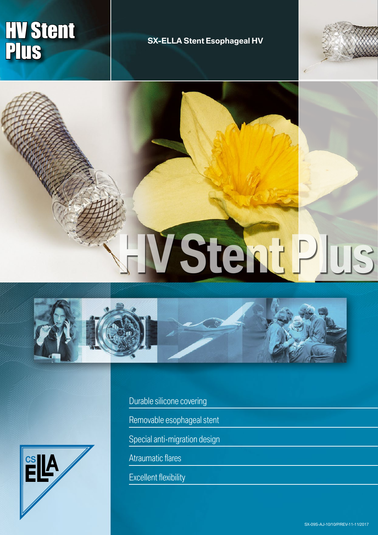# **HV Stent PIUS** SX-ELLA Stent Esophageal HV



**HV Stent Plus**





Durable silicone covering

Removable esophageal stent

Special anti-migration design

Atraumatic flares

Excellent flexibility